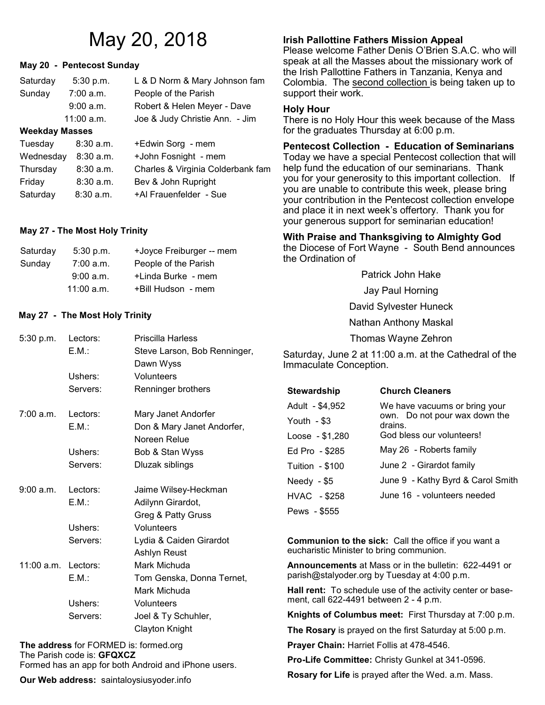# **May 20 - Pentecost Sunday**

| Saturday              | 5:30 p.m.    | L & D Norm & Mary Johnson fam  |
|-----------------------|--------------|--------------------------------|
| Sunday                | 7:00 a.m.    | People of the Parish           |
|                       | 9:00 a.m.    | Robert & Helen Meyer - Dave    |
|                       | $11:00$ a.m. | Joe & Judy Christie Ann. - Jim |
| <b>Weekday Masses</b> |              |                                |
| Tuesday               | $8:30$ a.m.  | +Edwin Sorg - mem              |
| Wednesday             | 8:30 a.m.    | +John Fosnight - mem           |

| wcuncouay 0.00 a.m. |             | וווסווו - ווועוווכט ו ווווטטי     |
|---------------------|-------------|-----------------------------------|
| Thursday            | $8:30$ a.m. | Charles & Virginia Colderbank fam |
| Friday              | $8:30$ a.m. | Bev & John Rupright               |
| Saturday            | 8:30a.m.    | +Al Frauenfelder - Sue            |

# **May 27 - The Most Holy Trinity**

| Saturday | $5:30$ p.m.  | +Joyce Freiburger -- mem |
|----------|--------------|--------------------------|
| Sunday   | 7:00 a.m.    | People of the Parish     |
|          | 9:00 a.m.    | +Linda Burke - mem       |
|          | $11:00$ a.m. | +Bill Hudson - mem       |

# **May 27 - The Most Holy Trinity**

| 5:30 p.m.             | Lectors: | <b>Priscilla Harless</b>     |
|-----------------------|----------|------------------------------|
|                       | EM:      | Steve Larson, Bob Renninger, |
|                       |          | Dawn Wyss                    |
|                       | Ushers:  | Volunteers                   |
|                       | Servers: | Renninger brothers           |
| 7:00 a.m.             | Lectors: | Mary Janet Andorfer          |
|                       | E.M.:    | Don & Mary Janet Andorfer,   |
|                       |          | Noreen Relue                 |
|                       | Ushers:  | Bob & Stan Wyss              |
|                       | Servers: | Dluzak siblings              |
| 9:00 a.m.             | Lectors: | Jaime Wilsey-Heckman         |
|                       | E.M.:    | Adilynn Girardot,            |
|                       |          | Greg & Patty Gruss           |
|                       | Ushers:  | Volunteers                   |
|                       | Servers: | Lydia & Caiden Girardot      |
|                       |          | Ashlyn Reust                 |
| $11:00$ a.m. Lectors: |          | Mark Michuda                 |
|                       | E.M.:    | Tom Genska, Donna Ternet,    |
|                       |          | Mark Michuda                 |
|                       | Ushers:  | Volunteers                   |
|                       | Servers: | Joel & Ty Schuhler,          |
|                       |          | <b>Clayton Knight</b>        |

**The address** for FORMED is: formed.org The Parish code is: **GFQXCZ** Formed has an app for both Android and iPhone users.

**Our Web address:** saintaloysiusyoder.info

# May 20, 2018 **Irish Pallottine Fathers Mission Appeal**

Please welcome Father Denis O'Brien S.A.C. who will speak at all the Masses about the missionary work of the Irish Pallottine Fathers in Tanzania, Kenya and Colombia. The second collection is being taken up to support their work.

# **Holy Hour**

There is no Holy Hour this week because of the Mass for the graduates Thursday at 6:00 p.m.

**Pentecost Collection - Education of Seminarians**  Today we have a special Pentecost collection that will help fund the education of our seminarians. Thank you for your generosity to this important collection. If you are unable to contribute this week, please bring your contribution in the Pentecost collection envelope and place it in next week's offertory. Thank you for your generous support for seminarian education!

# **With Praise and Thanksgiving to Almighty God**

the Diocese of Fort Wayne - South Bend announces the Ordination of

> Patrick John Hake Jay Paul Horning David Sylvester Huneck Nathan Anthony Maskal Thomas Wayne Zehron

Saturday, June 2 at 11:00 a.m. at the Cathedral of the Immaculate Conception.

| <b>Stewardship</b> | <b>Church Cleaners</b>                   |  |
|--------------------|------------------------------------------|--|
| Adult - \$4,952    | We have vacuums or bring your            |  |
| Youth $-$ \$3      | own. Do not pour wax down the<br>drains. |  |
| Loose - \$1,280    | God bless our volunteers!                |  |
| Ed Pro - \$285     | May 26 - Roberts family                  |  |
| Tuition - \$100    | June 2 - Girardot family                 |  |
| Needy $-$ \$5      | June 9 - Kathy Byrd & Carol Smith        |  |
| HVAC - \$258       | June 16 - volunteers needed              |  |
| Pews - \$555       |                                          |  |
|                    |                                          |  |

**Communion to the sick:** Call the office if you want a eucharistic Minister to bring communion.

**Announcements** at Mass or in the bulletin: 622-4491 or parish@stalyoder.org by Tuesday at 4:00 p.m.

**Hall rent:** To schedule use of the activity center or basement, call 622-4491 between 2 - 4 p.m.

**Knights of Columbus meet:** First Thursday at 7:00 p.m.

**The Rosary** is prayed on the first Saturday at 5:00 p.m.

**Prayer Chain:** Harriet Follis at 478-4546.

**Pro-Life Committee:** Christy Gunkel at 341-0596.

**Rosary for Life** is prayed after the Wed. a.m. Mass.